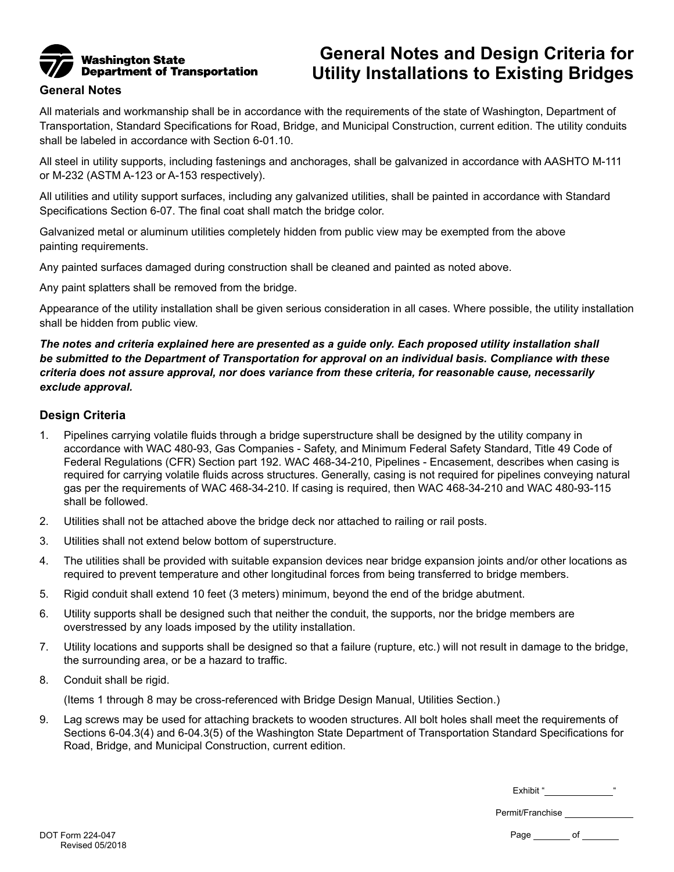

## **General Notes and Design Criteria for Utility Installations to Existing Bridges**

## **General Notes**

All materials and workmanship shall be in accordance with the requirements of the state of Washington, Department of Transportation, Standard Specifications for Road, Bridge, and Municipal Construction, current edition. The utility conduits shall be labeled in accordance with Section 6-01.10.

All steel in utility supports, including fastenings and anchorages, shall be galvanized in accordance with AASHTO M-111 or M-232 (ASTM A-123 or A-153 respectively).

All utilities and utility support surfaces, including any galvanized utilities, shall be painted in accordance with Standard Specifications Section 6-07. The final coat shall match the bridge color.

Galvanized metal or aluminum utilities completely hidden from public view may be exempted from the above painting requirements.

Any painted surfaces damaged during construction shall be cleaned and painted as noted above.

Any paint splatters shall be removed from the bridge.

Appearance of the utility installation shall be given serious consideration in all cases. Where possible, the utility installation shall be hidden from public view.

*The notes and criteria explained here are presented as a guide only. Each proposed utility installation shall be submitted to the Department of Transportation for approval on an individual basis. Compliance with these criteria does not assure approval, nor does variance from these criteria, for reasonable cause, necessarily exclude approval.* 

## **Design Criteria**

- 1. Pipelines carrying volatile fluids through a bridge superstructure shall be designed by the utility company in accordance with WAC 480-93, Gas Companies - Safety, and Minimum Federal Safety Standard, Title 49 Code of Federal Regulations (CFR) Section part 192. WAC 468-34-210, Pipelines - Encasement, describes when casing is required for carrying volatile fluids across structures. Generally, casing is not required for pipelines conveying natural gas per the requirements of WAC 468-34-210. If casing is required, then WAC 468-34-210 and WAC 480-93-115 shall be followed.
- 2. Utilities shall not be attached above the bridge deck nor attached to railing or rail posts.
- 3. Utilities shall not extend below bottom of superstructure.
- 4. The utilities shall be provided with suitable expansion devices near bridge expansion joints and/or other locations as required to prevent temperature and other longitudinal forces from being transferred to bridge members.
- 5. Rigid conduit shall extend 10 feet (3 meters) minimum, beyond the end of the bridge abutment.
- 6. Utility supports shall be designed such that neither the conduit, the supports, nor the bridge members are overstressed by any loads imposed by the utility installation.
- 7. Utility locations and supports shall be designed so that a failure (rupture, etc.) will not result in damage to the bridge, the surrounding area, or be a hazard to traffic.
- 8. Conduit shall be rigid.

(Items 1 through 8 may be cross-referenced with Bridge Design Manual, Utilities Section.)

9. Lag screws may be used for attaching brackets to wooden structures. All bolt holes shall meet the requirements of Sections 6-04.3(4) and 6-04.3(5) of the Washington State Department of Transportation Standard Specifications for Road, Bridge, and Municipal Construction, current edition.

Exhibit " "

Permit/Franchise

Page of